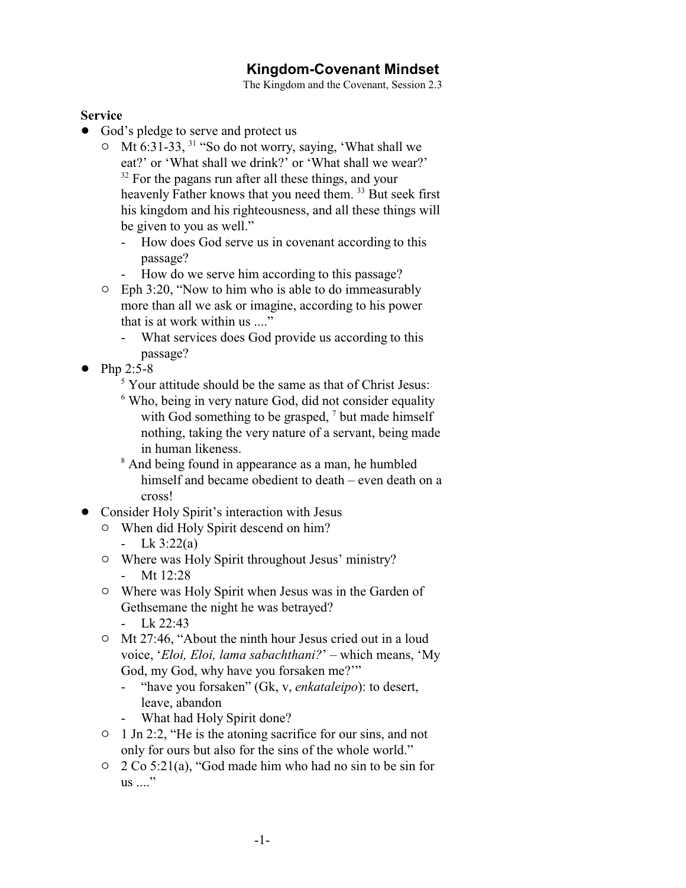## **Kingdom-Covenant Mindset**

The Kingdom and the Covenant, Session 2.3

## **Service**

- God's pledge to serve and protect us
	- $\circ$  Mt 6:31-33, <sup>31</sup> "So do not worry, saying, 'What shall we eat?' or 'What shall we drink?' or 'What shall we wear?' <sup>32</sup> For the pagans run after all these things, and your heavenly Father knows that you need them. <sup>33</sup> But seek first his kingdom and his righteousness, and all these things will be given to you as well."
		- How does God serve us in covenant according to this passage?
		- How do we serve him according to this passage?
	- $\circ$  Eph 3:20, "Now to him who is able to do immeasurably more than all we ask or imagine, according to his power that is at work within us ...."
		- What services does God provide us according to this passage?
- $\bullet$  Php 2:5-8
	- <sup>5</sup> Your attitude should be the same as that of Christ Jesus:
	- <sup>6</sup> Who, being in very nature God, did not consider equality with God something to be grasped,  $\frac{7}{1}$  but made himself nothing, taking the very nature of a servant, being made in human likeness.
	- <sup>8</sup> And being found in appearance as a man, he humbled himself and became obedient to death – even death on a cross!
- ! Consider Holy Spirit's interaction with Jesus
	- $\circ$  When did Holy Spirit descend on him?
		- Lk  $3:22(a)$
	- $\circ$  Where was Holy Spirit throughout Jesus' ministry? - Mt 12:28
	- $\circ$  Where was Holy Spirit when Jesus was in the Garden of Gethsemane the night he was betrayed?
		- Lk 22:43
	- <sup>o</sup> Mt 27:46, "About the ninth hour Jesus cried out in a loud voice, '*Eloi, Eloi, lama sabachthani?*' – which means, 'My God, my God, why have you forsaken me?'"
		- "have you forsaken" (Gk, v, *enkataleipo*): to desert, leave, abandon
		- What had Holy Spirit done?
	- $\circ$  1 Jn 2:2, "He is the atoning sacrifice for our sins, and not only for ours but also for the sins of the whole world."
	- $\circ$  2 Co 5:21(a), "God made him who had no sin to be sin for  $\text{us} \dots$ "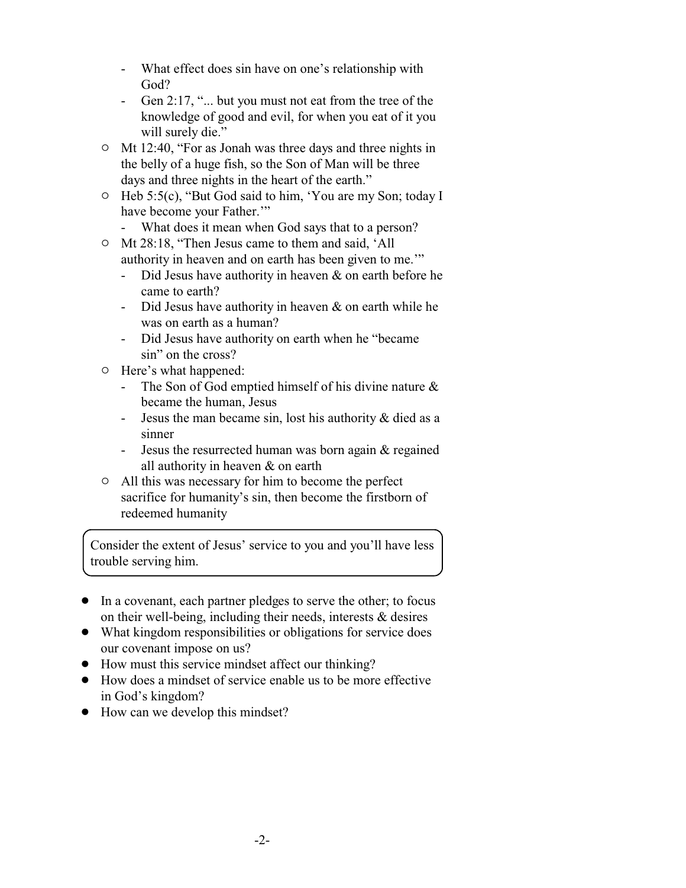- What effect does sin have on one's relationship with God?
- Gen 2:17, "... but you must not eat from the tree of the knowledge of good and evil, for when you eat of it you will surely die."
- $\circ$  Mt 12:40, "For as Jonah was three days and three nights in the belly of a huge fish, so the Son of Man will be three days and three nights in the heart of the earth."
- <sup>o</sup> Heb 5:5(c), "But God said to him, 'You are my Son; today I have become your Father."
	- What does it mean when God says that to a person?
- o Mt 28:18, "Then Jesus came to them and said, 'All authority in heaven and on earth has been given to me.'"
	- Did Jesus have authority in heaven & on earth before he came to earth?
	- Did Jesus have authority in heaven & on earth while he was on earth as a human?
	- Did Jesus have authority on earth when he "became sin" on the cross?
- $\circ$  Here's what happened:
	- The Son of God emptied himself of his divine nature & became the human, Jesus
	- Jesus the man became sin, lost his authority & died as a sinner
	- Jesus the resurrected human was born again & regained all authority in heaven & on earth
- $\circ$  All this was necessary for him to become the perfect sacrifice for humanity's sin, then become the firstborn of redeemed humanity

Consider the extent of Jesus' service to you and you'll have less trouble serving him.

- In a covenant, each partner pledges to serve the other; to focus on their well-being, including their needs, interests & desires
- What kingdom responsibilities or obligations for service does our covenant impose on us?
- How must this service mindset affect our thinking?
- How does a mindset of service enable us to be more effective in God's kingdom?
- How can we develop this mindset?